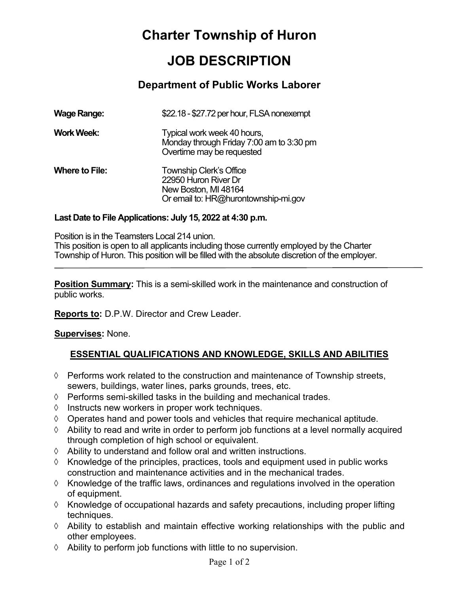# **Charter Township of Huron**

# **JOB DESCRIPTION**

### **Department of Public Works Laborer**

| <b>Wage Range:</b>    | \$22.18 - \$27.72 per hour, FLSA nonexempt                                                                             |
|-----------------------|------------------------------------------------------------------------------------------------------------------------|
| <b>Work Week:</b>     | Typical work week 40 hours,<br>Monday through Friday 7:00 am to 3:30 pm<br>Overtime may be requested                   |
| <b>Where to File:</b> | <b>Township Clerk's Office</b><br>22950 Huron River Dr<br>New Boston, MI 48164<br>Or email to: HR@hurontownship-mi.gov |

#### **Last Date to File Applications: July 15, 2022 at 4:30 p.m.**

Position is in the Teamsters Local 214 union. This position is open to all applicants including those currently employed by the Charter Township of Huron. This position will be filled with the absolute discretion of the employer.

**Position Summary:** This is a semi-skilled work in the maintenance and construction of public works.

**Reports to:** D.P.W. Director and Crew Leader.

#### **Supervises:** None.

#### **ESSENTIAL QUALIFICATIONS AND KNOWLEDGE, SKILLS AND ABILITIES**

- $\Diamond$  Performs work related to the construction and maintenance of Township streets, sewers, buildings, water lines, parks grounds, trees, etc.
- $\Diamond$  Performs semi-skilled tasks in the building and mechanical trades.
- $\Diamond$  Instructs new workers in proper work techniques.
- $\Diamond$  Operates hand and power tools and vehicles that require mechanical aptitude.
- $\Diamond$  Ability to read and write in order to perform job functions at a level normally acquired through completion of high school or equivalent.
- $\Diamond$  Ability to understand and follow oral and written instructions.
- $\Diamond$  Knowledge of the principles, practices, tools and equipment used in public works construction and maintenance activities and in the mechanical trades.
- $\Diamond$  Knowledge of the traffic laws, ordinances and regulations involved in the operation of equipment.
- $\Diamond$  Knowledge of occupational hazards and safety precautions, including proper lifting techniques.
- $\Diamond$  Ability to establish and maintain effective working relationships with the public and other employees.
- $\Diamond$  Ability to perform job functions with little to no supervision.